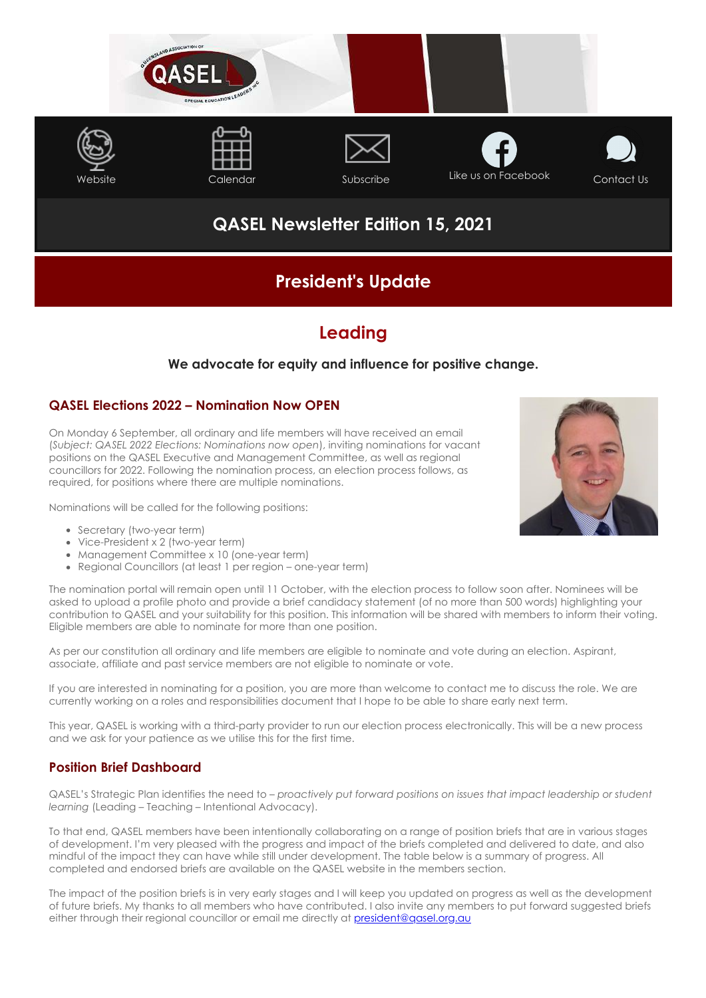

# **QASEL Newsletter Edition 15, 2021**

# **President's Update**

## **Leading**

## **We advocate for equity and influence for positive change.**

### **QASEL Elections 2022 – Nomination Now OPEN**

On Monday 6 September, all ordinary and life members will have received an email (*Subject: QASEL 2022 Elections: Nominations now open*), inviting nominations for vacant positions on the QASEL Executive and Management Committee, as well as regional councillors for 2022. Following the nomination process, an election process follows, as required, for positions where there are multiple nominations.

Nominations will be called for the following positions:

- Secretary (two-year term)
- Vice-President x 2 (two-year term)
- Management Committee x 10 (one-year term)
- Regional Councillors (at least 1 per region one-year term)

The nomination portal will remain open until 11 October, with the election process to follow soon after. Nominees will be asked to upload a profile photo and provide a brief candidacy statement (of no more than 500 words) highlighting your contribution to QASEL and your suitability for this position. This information will be shared with members to inform their voting. Eligible members are able to nominate for more than one position.

As per our constitution all ordinary and life members are eligible to nominate and vote during an election. Aspirant, associate, affiliate and past service members are not eligible to nominate or vote.

If you are interested in nominating for a position, you are more than welcome to contact me to discuss the role. We are currently working on a roles and responsibilities document that I hope to be able to share early next term.

This year, QASEL is working with a third-party provider to run our election process electronically. This will be a new process and we ask for your patience as we utilise this for the first time.

## **Position Brief Dashboard**

QASEL's Strategic Plan identifies the need to – *proactively put forward positions on issues that impact leadership or student learning* (Leading – Teaching – Intentional Advocacy).

To that end, QASEL members have been intentionally collaborating on a range of position briefs that are in various stages of development. I'm very pleased with the progress and impact of the briefs completed and delivered to date, and also mindful of the impact they can have while still under development. The table below is a summary of progress. All completed and endorsed briefs are available on the QASEL website in the members section.

The impact of the position briefs is in very early stages and I will keep you updated on progress as well as the development of future briefs. My thanks to all members who have contributed. I also invite any members to put forward suggested briefs either through their regional councillor or email me directly at [president@qasel.org.au](mailto:president@qasel.org.au)

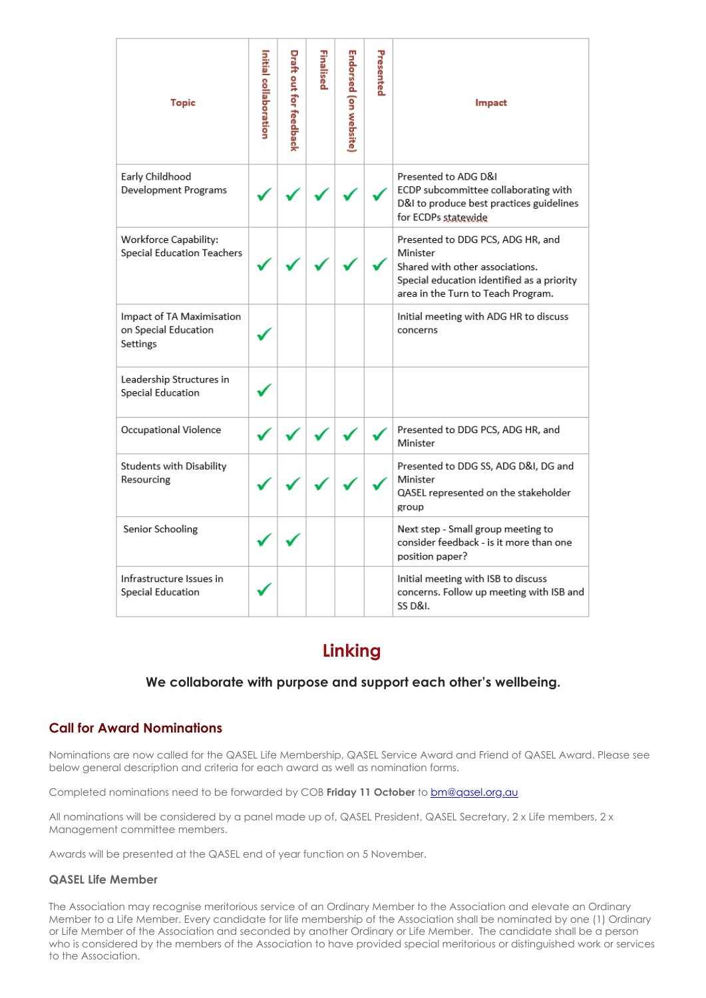| Topic                                                         | Initial collaboration | Draft out for feedback | Finalised | Endorsed (on website) | Presented | Impact                                                                                                                                                               |
|---------------------------------------------------------------|-----------------------|------------------------|-----------|-----------------------|-----------|----------------------------------------------------------------------------------------------------------------------------------------------------------------------|
| Early Childhood<br>Development Programs                       |                       |                        |           |                       |           | Presented to ADG D&I<br>ECDP subcommittee collaborating with<br>D&I to produce best practices guidelines<br>for ECDPs statewide                                      |
| Workforce Capability:<br>Special Education Teachers           |                       |                        |           |                       |           | Presented to DDG PCS, ADG HR, and<br>Minister<br>Shared with other associations.<br>Special education identified as a priority<br>area in the Turn to Teach Program. |
| Impact of TA Maximisation<br>on Special Education<br>Settings |                       |                        |           |                       |           | Initial meeting with ADG HR to discuss<br>concerns                                                                                                                   |
| Leadership Structures in<br>Special Education                 |                       |                        |           |                       |           |                                                                                                                                                                      |
| Occupational Violence                                         |                       |                        |           |                       |           | Presented to DDG PCS, ADG HR, and<br>Minister                                                                                                                        |
| Students with Disability<br>Resourcing                        |                       |                        |           |                       |           | Presented to DDG SS, ADG D&I, DG and<br>Minister<br>QASEL represented on the stakeholder<br>group                                                                    |
| Senior Schooling                                              |                       |                        |           |                       |           | Next step - Small group meeting to<br>consider feedback - is it more than one<br>position paper?                                                                     |
| Infrastructure Issues in<br>Special Education                 |                       |                        |           |                       |           | Initial meeting with ISB to discuss<br>concerns. Follow up meeting with ISB and<br>SS D&L                                                                            |

# **Linking**

## **We collaborate with purpose and support each other's wellbeing.**

### **Call for Award Nominations**

Nominations are now called for the QASEL Life Membership, QASEL Service Award and Friend of QASEL Award. Please see below general description and criteria for each award as well as nomination forms.

Completed nominations need to be forwarded by COB **Friday 11 October** to **bm@qasel.org.au** 

All nominations will be considered by a panel made up of, QASEL President, QASEL Secretary, 2 x Life members, 2 x Management committee members.

Awards will be presented at the QASEL end of year function on 5 November.

#### **QASEL Life Member**

The Association may recognise meritorious service of an Ordinary Member to the Association and elevate an Ordinary Member to a Life Member. Every candidate for life membership of the Association shall be nominated by one (1) Ordinary or Life Member of the Association and seconded by another Ordinary or Life Member. The candidate shall be a person who is considered by the members of the Association to have provided special meritorious or distinguished work or services to the Association.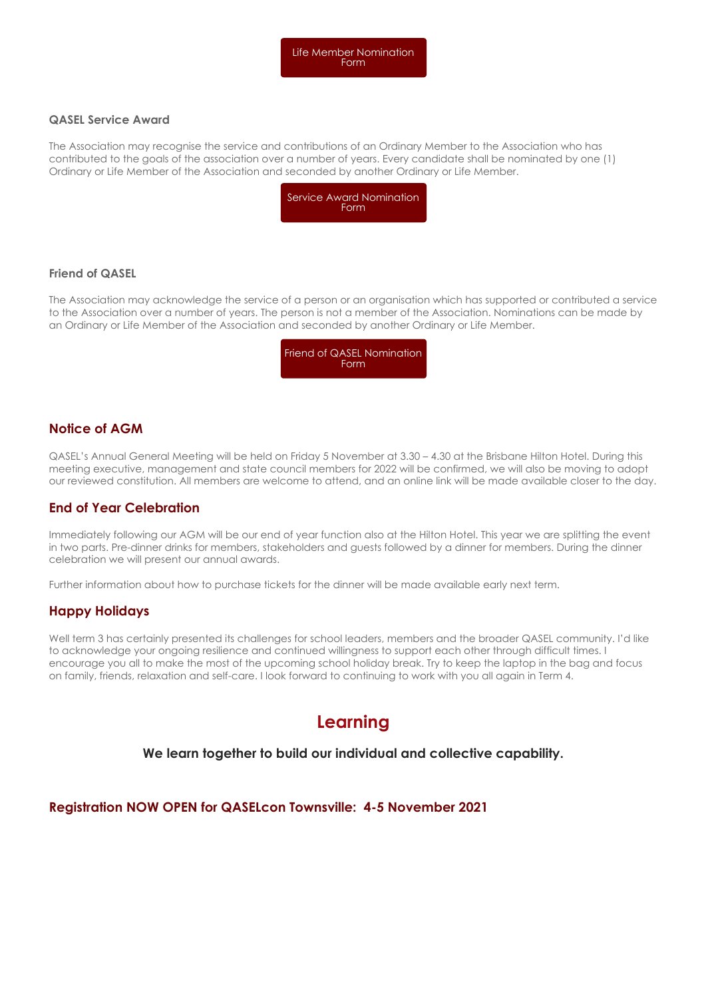#### **QASEL Service Award**

The Association may recognise the service and contributions of an Ordinary Member to the Association who has contributed to the goals of the association over a number of years. Every candidate shall be nominated by one (1) Ordinary or Life Member of the Association and seconded by another Ordinary or Life Member.



#### **Friend of QASEL**

The Association may acknowledge the service of a person or an organisation which has supported or contributed a service to the Association over a number of years. The person is not a member of the Association. Nominations can be made by an Ordinary or Life Member of the Association and seconded by another Ordinary or Life Member.



### **Notice of AGM**

QASEL's Annual General Meeting will be held on Friday 5 November at 3.30 – 4.30 at the Brisbane Hilton Hotel. During this meeting executive, management and state council members for 2022 will be confirmed, we will also be moving to adopt our reviewed constitution. All members are welcome to attend, and an online link will be made available closer to the day.

### **End of Year Celebration**

Immediately following our AGM will be our end of year function also at the Hilton Hotel. This year we are splitting the event in two parts. Pre-dinner drinks for members, stakeholders and guests followed by a dinner for members. During the dinner celebration we will present our annual awards.

Further information about how to purchase tickets for the dinner will be made available early next term.

### **Happy Holidays**

Well term 3 has certainly presented its challenges for school leaders, members and the broader QASEL community. I'd like to acknowledge your ongoing resilience and continued willingness to support each other through difficult times. I encourage you all to make the most of the upcoming school holiday break. Try to keep the laptop in the bag and focus on family, friends, relaxation and self-care. I look forward to continuing to work with you all again in Term 4.

## **Learning**

#### **We learn together to build our individual and collective capability.**

### **Registration NOW OPEN for QASELcon Townsville: 4-5 November 2021**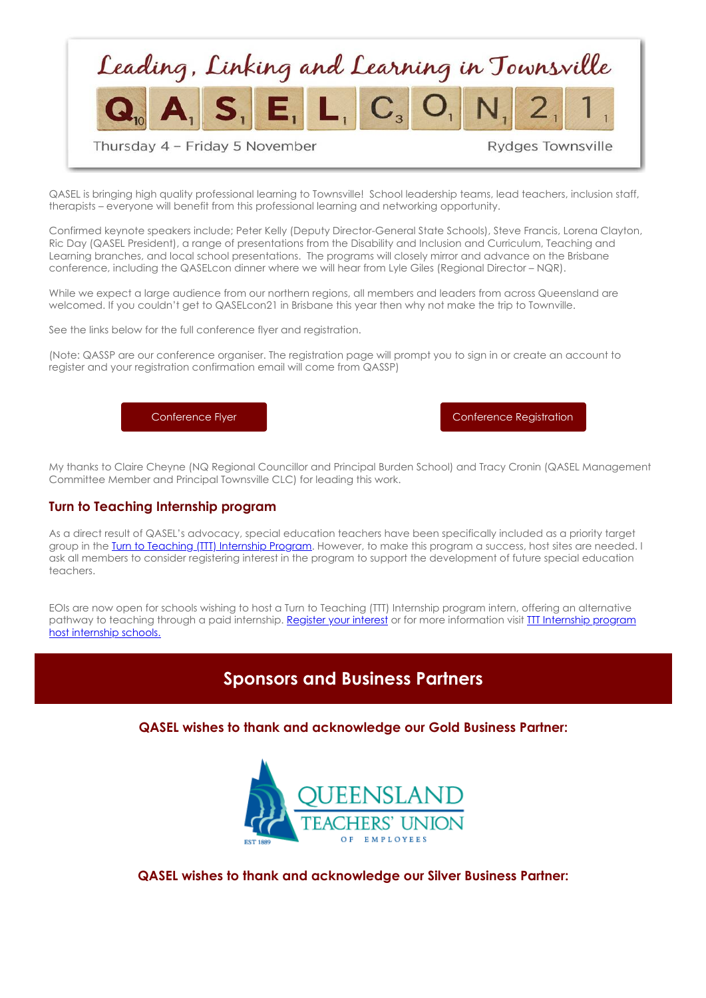

QASEL is bringing high quality professional learning to Townsville! School leadership teams, lead teachers, inclusion staff, therapists – everyone will benefit from this professional learning and networking opportunity.

Confirmed keynote speakers include; Peter Kelly (Deputy Director-General State Schools), Steve Francis, Lorena Clayton, Ric Day (QASEL President), a range of presentations from the Disability and Inclusion and Curriculum, Teaching and Learning branches, and local school presentations. The programs will closely mirror and advance on the Brisbane conference, including the QASELcon dinner where we will hear from Lyle Giles (Regional Director – NQR).

While we expect a large audience from our northern regions, all members and leaders from across Queensland are welcomed. If you couldn't get to QASELcon21 in Brisbane this year then why not make the trip to Townville.

See the links below for the full conference flyer and registration.

(Note: QASSP are our conference organiser. The registration page will prompt you to sign in or create an account to register and your registration confirmation email will come from QASSP)

[Conference Flyer](https://cdn-au.mailsnd.com/81048/4RpdeXKmZYRr7DLI4GxVkZmrrtUFCF_8hGQClIXUgjw/3483044.pdf) [Conference Registration](https://www.qassp.org.au/QASEL/QASELCon21TSV/0QASELCon21TSV.aspx)

My thanks to Claire Cheyne (NQ Regional Councillor and Principal Burden School) and Tracy Cronin (QASEL Management Committee Member and Principal Townsville CLC) for leading this work.

#### **Turn to Teaching Internship program**

As a direct result of QASEL's advocacy, special education teachers have been specifically included as a priority target group in the Turn to Teaching (TIT) Internship Program. However, to make this program a success, host sites are needed. I ask all members to consider registering interest in the program to support the development of future special education teachers.

EOIs are now open for schools wishing to host a Turn to Teaching (TTT) Internship program intern, offering an alternative pathway to teaching through a paid internship. Register your interest or for more information visit III Internship program host internship schools.

## **Sponsors and Business Partners**

**QASEL wishes to thank and acknowledge our Gold Business Partner:**



**QASEL wishes to thank and acknowledge our Silver Business Partner:**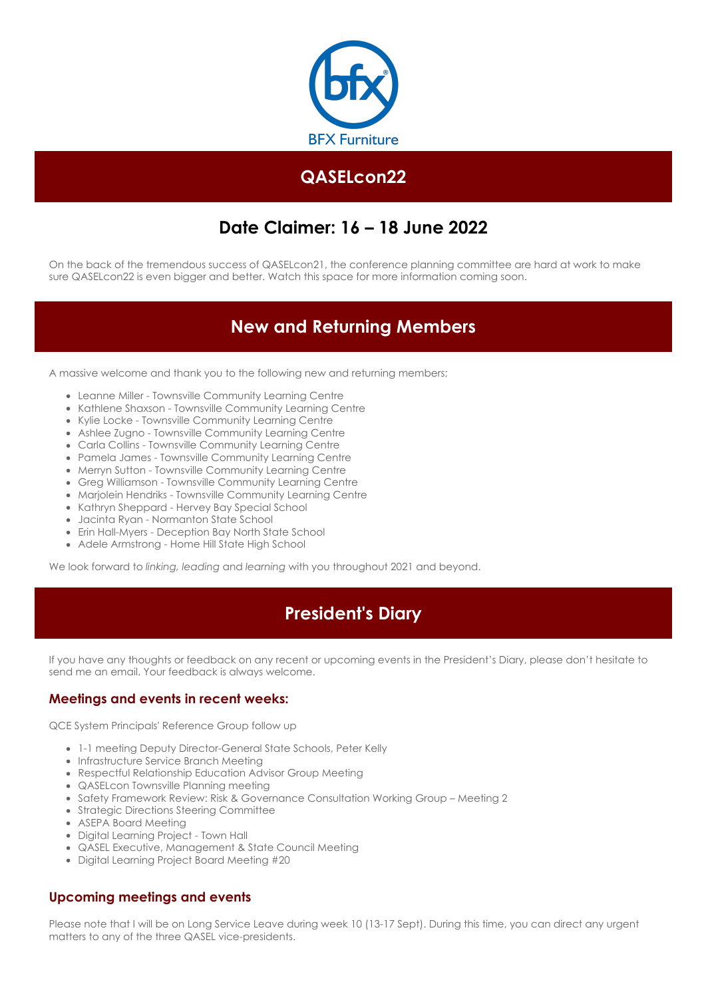

# **QASELcon22**

# **Date Claimer: 16 – 18 June 2022**

On the back of the tremendous success of QASELcon21, the conference planning committee are hard at work to make sure QASELcon22 is even bigger and better. Watch this space for more information coming soon.

# **New and Returning Members**

A massive welcome and thank you to the following new and returning members;

- Leanne Miller Townsville Community Learning Centre
- Kathlene Shaxson Townsville Community Learning Centre
- Kylie Locke Townsville Community Learning Centre
- Ashlee Zugno Townsville Community Learning Centre
- Carla Collins Townsville Community Learning Centre
- Pamela James Townsville Community Learning Centre
- Merryn Sutton Townsville Community Learning Centre
- Greg Williamson Townsville Community Learning Centre
- Marjolein Hendriks Townsville Community Learning Centre
- Kathryn Sheppard Hervey Bay Special School
- Jacinta Ryan Normanton State School
- Erin Hall-Myers Deception Bay North State School
- Adele Armstrong Home Hill State High School

We look forward to *linking, leading* and *learning* with you throughout 2021 and beyond.

## **President's Diary**

If you have any thoughts or feedback on any recent or upcoming events in the President's Diary, please don't hesitate to send me an email. Your feedback is always welcome.

#### **Meetings and events in recent weeks:**

QCE System Principals' Reference Group follow up

- 1-1 meeting Deputy Director-General State Schools, Peter Kelly
- Infrastructure Service Branch Meeting
- Respectful Relationship Education Advisor Group Meeting
- QASELcon Townsville Planning meeting
- **Safety Framework Review: Risk & Governance Consultation Working Group Meeting 2**
- Strategic Directions Steering Committee
- ASEPA Board Meeting
- Digital Learning Project Town Hall
- QASEL Executive, Management & State Council Meeting
- Digital Learning Project Board Meeting #20

#### **Upcoming meetings and events**

Please note that I will be on Long Service Leave during week 10 (13-17 Sept). During this time, you can direct any urgent matters to any of the three QASEL vice-presidents.